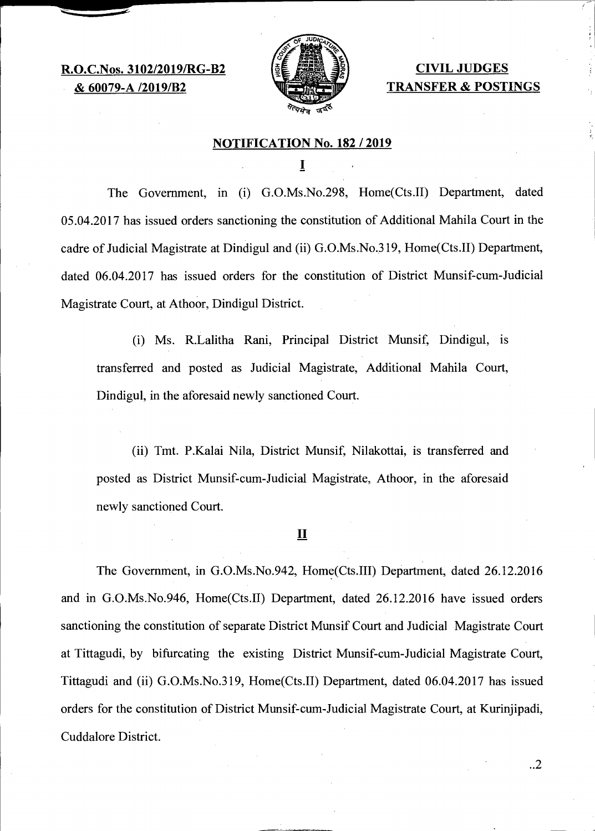**R.O.C.Nos. 3102/2019/RG-B2 & 60079-A /2019/B2** 



# **CIVIL JUDGES TRANSFER & POSTINGS**

### **NOTIFICATION No. 182 / 2019**

I

The Government, in (i) G.O.Ms.No.298, Home(Cts.II) Department, dated 05.04.2017 has issued orders sanctioning the constitution of Additional Mahila Court in the cadre of Judicial Magistrate at Dindigul and (ii) G.O.Ms.No.319, Home(Cts.II) Department, dated 06.04.2017 has issued orders for the constitution of District Munsif-cum-Judicial Magistrate Court, at Athoor, Dindigul District.

(i) Ms. R.Lalitha Rani, Principal District Munsif, Dindigul, is transferred and posted as Judicial Magistrate, Additional Mahila Court, Dindigul, in the aforesaid newly sanctioned Court.

(ii) Tmt. P.Kalai Nila, District Munsif, Nilakottai, is transferred and posted as District Munsif-cum-Judicial Magistrate, Athoor, in the aforesaid newly sanctioned Court.

**II** 

The Government, in G.O.Ms.No.942, Home(Cts.III) Department, dated 26.12.2016 and in G.O.Ms.No.946, Home(Cts.II) Department, dated 26.12.2016 have issued orders sanctioning the constitution of separate District Munsif Court and Judicial Magistrate Court at Tittagudi, by bifurcating the existing District Munsif-cum-Judicial Magistrate Court, Tittagudi and (ii) G.O.Ms.No.319, Home(Cts.II) Department, dated 06.04.2017 has issued orders for the constitution of District Munsif-cum-Judicial Magistrate Court, at Kurinjipadi, Cuddalore District.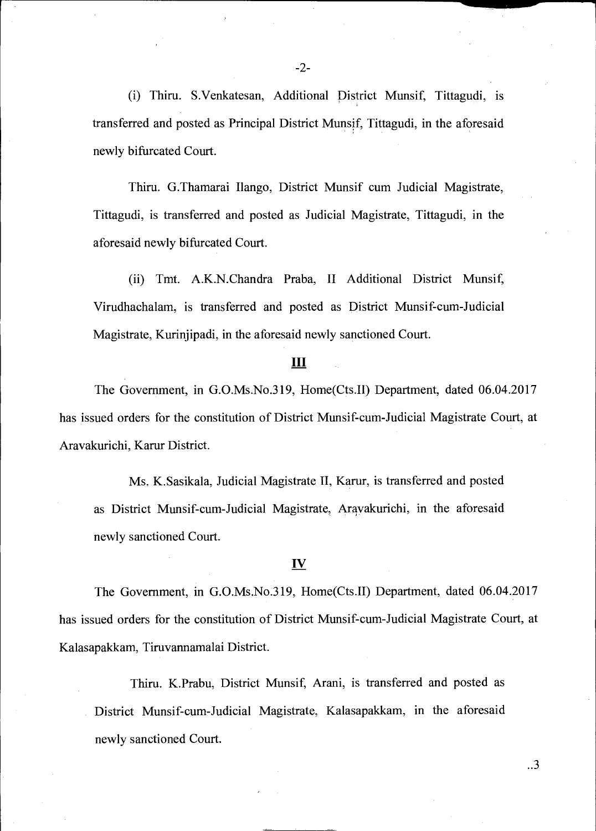(i) Thiru. S.Venkatesan, Additional District Munsif, Tittagudi, is transferred and posted as Principal District Munsif, Tittagudi, in the aforesaid newly bifurcated Court.

Thiru. G.Thamarai Ilango, District Munsif cum Judicial Magistrate, Tittagudi, is transferred and posted as Judicial Magistrate, Tittagudi, in the aforesaid newly bifurcated Court.

(ii) Tmt. A.K.N.Chandra Praba, II Additional District Munsif, Virudhachalam, is transferred and posted as District Munsif-cum-Judicial Magistrate, Kurinjipadi, in the aforesaid newly sanctioned Court.

#### **III**

The Government, in G.O.Ms.No.319, Home(Cts.II) Department, dated 06.04.2017 has issued orders for the constitution of District Munsif-cum-Judicial Magistrate Court, at Aravakurichi, Karur District.

Ms. K.Sasikala, Judicial Magistrate II, Karur, is transferred and posted as District Munsif-cum-Judicial Magistrate, Arayakurichi, in the aforesaid newly sanctioned Court.

### IV

The Government, in G.O.Ms.No.319, Home(Cts.II) Department, dated 06.04.2017 has issued orders for the constitution of District Munsif-cum-Judicial Magistrate Court, at Kalasapakkam, Tiruvannamalai District.

Thiru. K.Prabu, District Munsif, Arani, is transferred and posted as District Munsif-cum-Judicial Magistrate, Kalasapakkam, in the aforesaid newly sanctioned Court.

..3